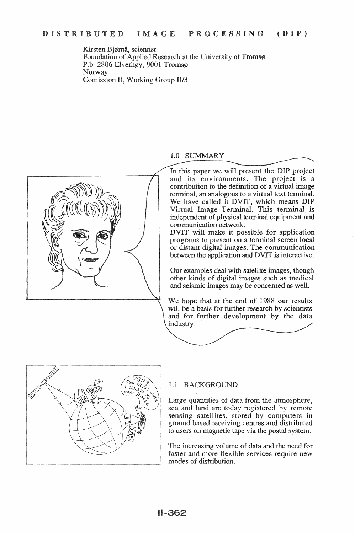Kirsten Bjørnå, scientist Foundation of Applied Research at the University of Tromsø P.b. 2806 Elverhøy, 9001 Tromsø Norway Comission II, Working Group II/3



# 1.0 SUMMARY

In this paper we will present the DIP project and its environments. The project is a contribution to the definition of a virtual image terminal, an analogous to a virtual text terminal. We have called it DVIT, which means DIP Virtual Image Terminal. This terminal is independent of physical terminal equipment and communication network.

DVIT will make it possible for application programs to present on a terminal screen local or distant digital images. The communication between the application and DVIT is interactive.

Our examples deal with satellite images, though other kinds of digital images such as medical and seismic images may be concerned as well.

We hope that at the end of 1988 our results will be a basis for further research by scientists and for further development by the data industry.



## 1.1 BACKGROUND

Large quantities of data from the atmosphere, sea and land are today registered by remote sensing satellites, stored by computers in ground based receiving centres and distributed to users on magnetic tape via the postal system.

The increasing volume of data and the need for faster and more flexible services require new modes of distribution.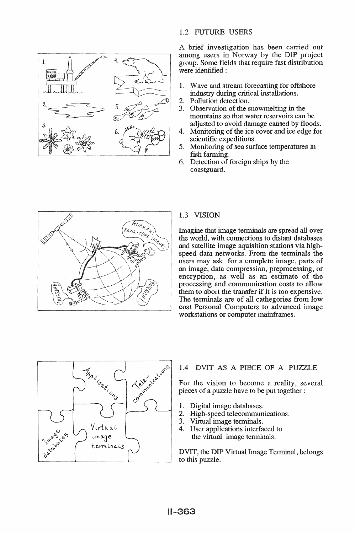

## 1.2 FUTURE USERS

A brief investigation has been carried out among users in Norway by the DIP project group. Some fields that require fast distribution were identified :

- 1. Wave and stream forecasting for offshore industry during critical installations.
- Pollution detection.  $\overline{2}$ .
- 3. Observation of the snowmelting in the mountains so that water reservoirs can be adjusted to avoid damage caused by floods.
- 4. Monitoring of the ice cover and ice edge for scientific expeditions.
- 5. Monitoring of sea surface temperatures fish farming.
- 6. Detection of foreign ships by the coastguard.



## 1.3 VISION

Imagine that image terminals are spread all over the world, with connections to distant databases and satellite image aquisition stations via highspeed data networks. From the terminals the users may ask for a complete image, parts of an image, data compression, preprocessing, or encryption, as well as an estimate of the processing and communication costs to allow them to abort the transfer if it is too expensive. The terminals are of all cathegories from low cost Personal Computers to advanced image workstations or computer mainframes.



## 1.4 DVIT AS A PIECE OF A PUZZLE

For the vision to become a reality, several pieces of a puzzle have to be put together :

- 1. Digital image databases.
- 2. High-speed telecommunications.
- 3. Virtual image terminals.
- 4. User applications interfaced to the virtual image terminals.

DVIT, the DIP Virtual Image Terminal, belongs to this puzzle.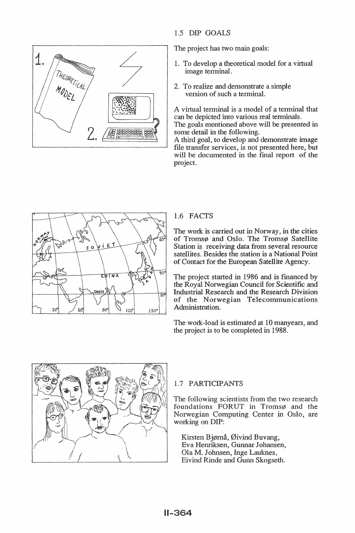

## 1.5 DIP GOALS

The project has two main goals:

- 1. To develop a theoretical model for a virtual image terminal.
- 2. To realize and demonstrate a simple version of such a terminal.

A virtual terminal is a model of a terminal that can be depicted into various real terminals.

The goals mentioned above will be presented in some detail in the following.

A third goal, to develop and demonstrate image file transfer services, is not presented here, but will be documented in the final report of the project.



# 1.6 FACTS

The work is carried out in Norway, in the cities of Tromsø and Oslo. The Tromsø Satellite Station is receiving data from several resource satellites. Besides the station is a National Point of Contact for the European Satellite Agency.

The project started in 1986 and is financed by the Royal Norwegian Council for Scientific and **Industrial Research and the Research Division** of the Norwegian Telecommunications Administration.

The work-load is estimated at 10 manyears, and the project is to be completed in 1988.



## 1.7 PARTICIPANTS

The following scientists from the two research foundations FORUT in Tromsø and the Norwegian Computing Center in Oslo, are working on DIP:

Kirsten Bjørnå, Øivind Buvang, Eva Henriksen, Gunnar Johansen, Ola M. Johnsen, Inge Lauknes, Eivind Rinde and Gunn Skogseth.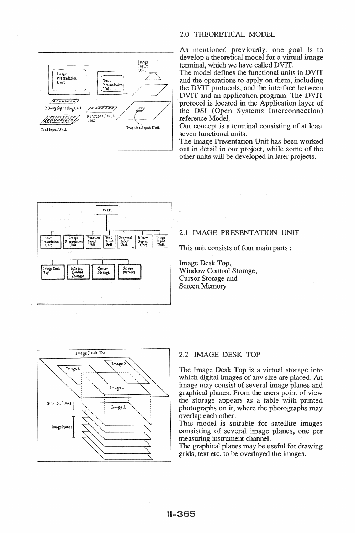

## 2.0 THEORETICAL MODEL

As mentioned previously, one goal is to develop a theoretical model for a virtual image terminal, which we have called DVIT.

The model defines the functional units in DVIT and the operations to apply on them, including the DVIT protocols, and the interface between DVIT and an application program. The DVIT protocol is located in the Application layer of the OSI (Open Systems Interconnection) reference Model.

Our concept is a terminal consisting of at least seven functional units.

The Image Presentation Unit has been worked out in detail in our project, while some of the other units will be developed in later projects.



## 2.1 IMAGE PRESENTATION UNIT

This unit consists of four main parts :

Image Desk Top, Window Control Storage, **Cursor Storage and Screen Memory** 



## 2.2 IMAGE DESK TOP

The Image Desk Top is a virtual storage into which digital images of any size are placed. An image may consist of several image planes and graphical planes. From the users point of view the storage appears as a table with printed photographs on it, where the photographs may overlap each other.

This model is suitable for satellite images consisting of several image planes, one per measuring instrument channel.

The graphical planes may be useful for drawing grids, text etc. to be overlayed the images.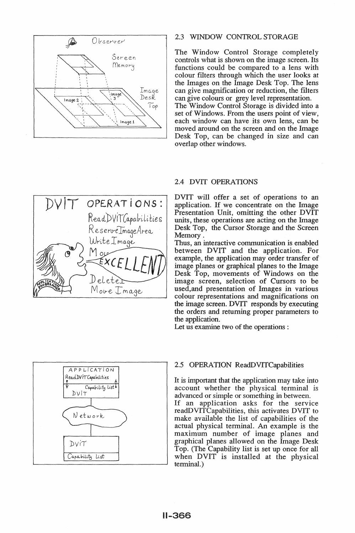

### 2.3 WINDOW CONTROL STORAGE

The Window Control Storage completely controls what is shown on the image screen. Its functions could be compared to a lens with colour filters through which the user looks at the Images on the Image Desk Top. The lens can give magnification or reduction, the filters can give colours or grey level representation. The Window Control Storage is divided into a set of Windows. From the users point of view. each window can have its own lens, can be moved around on the screen and on the Image Desk Top, can be changed in size and can overlap other windows.



### 2.4 DVIT OPERATIONS

DVIT will offer a set of operations to an application. If we concentrate on the Image Presentation Unit, omitting the other DVIT units, these operations are acting on the Image Desk Top, the Cursor Storage and the Screen Memory.

Thus, an interactive communication is enabled between DVIT and the application. For example, the application may order transfer of image planes or graphical planes to the Image Desk Top, movements of Windows on the image screen, selection of Cursors to be used, and presentation of Images in various colour representations and magnifications on the image screen. DVIT responds by executing the orders and returning proper parameters to the application.

Let us examine two of the operations :



#### 2.5 OPERATION ReadDVITCapabilities

It is important that the application may take into account whether the physical terminal is advanced or simple or something in between.

If an application asks for the service readDVITCapabilities, this activates DVIT to make available the list of capabilities of the actual physical terminal. An example is the maximum number of image planes and graphical planes allowed on the Image Desk Top. (The Capability list is set up once for all when DVIT is installed at the physical terminal.)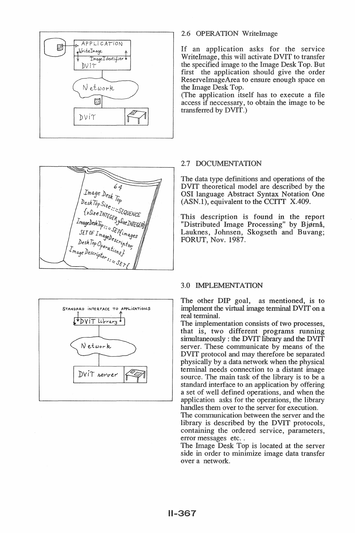



## 2.6 OPERATION WriteImage

If an application asks for the service WriteImage, this will activate DVIT to transfer the specified image to the Image Desk Top. But first the application should give the order ReserveImageArea to ensure enough space on the Image Desk Top.

(The application itself has to execute a file) access if necessary, to obtain the image to be transferred by DVIT.)

## 2.7 DOCUMENTATION

The data type definitions and operations of the DVIT theoretical model are described by the OSI language Abstract Syntax Notation One (ASN.1), equivalent to the CCITT X.409.

This description is found in the report "Distributed Image Processing" by Bjørnå, Lauknes, Johnsen, Skogseth and Buvang; FORUT, Nov. 1987.

### 3.0 IMPLEMENTATION

The other DIP goal, as mentioned, is to implement the virtual image terminal DVIT on a real terminal.

The implementation consists of two processes, that is, two different programs running simultaneously: the DVIT library and the DVIT server. These communicate by means of the DVIT protocol and may therefore be separated physically by a data network when the physical terminal needs connection to a distant image source. The main task of the library is to be a standard interface to an application by offering a set of well defined operations, and when the application asks for the operations, the library handles them over to the server for execution.

The communication between the server and the library is described by the DVIT protocols, containing the ordered service, parameters, error messages etc..

The Image Desk Top is located at the server side in order to minimize image data transfer over a network.

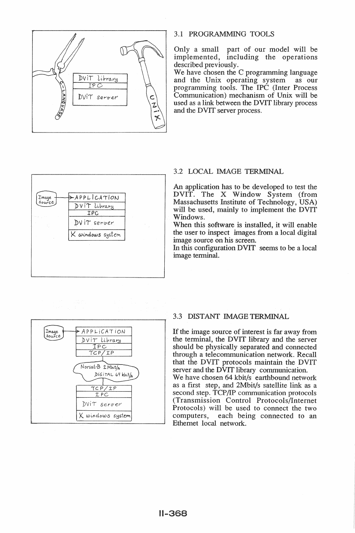

### 3.1 PROGRAMMING TOOLS

Only a small part of our model will be implemented, including the operations described previously.

We have chosen the C programming language and the Unix operating system as our programming tools. The IPC (Inter Process Communication) mechanism of Unix will be used as a link between the DVIT library process and the DVIT server process.



## **3.2 LOCAL IMAGE TERMINAL**

An application has to be developed to test the DVIT. The X Window System (from Massachusetts Institute of Technology, USA) will be used, mainly to implement the DVIT Windows.

When this software is installed, it will enable the user to inspect images from a local digital image source on his screen.

In this configuration DVIT seems to be a local image terminal.



### 3.3 DISTANT IMAGE TERMINAL

If the image source of interest is far away from the terminal, the DVIT library and the server should be physically separated and connected through a telecommunication network. Recall that the DVIT protocols maintain the DVIT server and the DVIT library communication. We have chosen 64 kbit/s earthbound network as a first step, and 2Mbit/s satellite link as a second step. TCP/IP communication protocols (Transmission Control Protocols/Internet) Protocols) will be used to connect the two computers, each being connected to an Ethernet local network.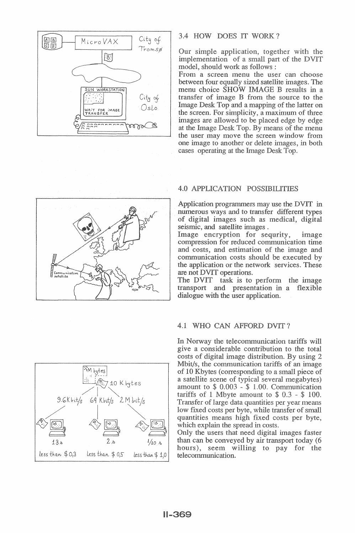

## 3.4 HOW DOES IT WORK?

Our simple application, together with the implementation of a small part of the DVIT model, should work as follows:

From a screen menu the user can choose between four equally sized satellite images. The menu choice SHOW IMAGE B results in a transfer of image B from the source to the Image Desk Top and a mapping of the latter on the screen. For simplicity, a maximum of three images are allowed to be placed edge by edge at the Image Desk Top. By means of the menu the user may move the screen window from one image to another or delete images, in both cases operating at the Image Desk Top.



## **4.0 APPLICATION POSSIBILITIES**

Application programmers may use the DVIT in numerous ways and to transfer different types of digital images such as medical, digital seismic, and satellite images.

Image encryption for sequrity, image compression for reduced communication time and costs, and estimation of the image and communication costs should be executed by the application or the network services. These are not DVIT operations.

The DVIT task is to perform the image transport and presentation in a flexible dialogue with the user application.

## 4.1 WHO CAN AFFORD DVIT?

In Norway the telecommunication tariffs will give a considerable contribution to the total costs of digital image distribution. By using 2 Mbit/s, the communication tariffs of an image of 10 Kbytes (corresponding to a small piece of a satellite scene of typical several megabytes) amount to  $$0.003 - $1.00$ . Communication tariffs of 1 Mbyte amount to  $$0.3 - $100$ . Transfer of large data quantities per year means low fixed costs per byte, while transfer of small quantities means high fixed costs per byte, which explain the spread in costs.

Only the users that need digital images faster than can be conveyed by air transport today (6) hours), seem willing to pay for the telecommunication.